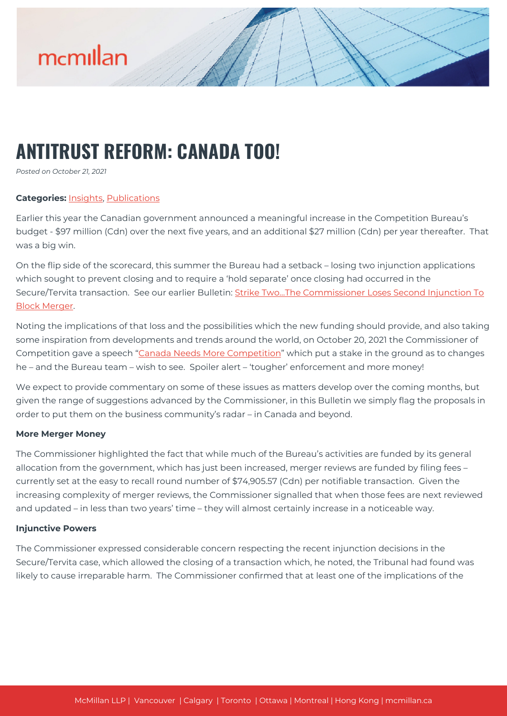

# **ANTITRUST REFORM: CANADA TOO!**

*Posted on October 21, 2021*

# **Categories:** [Insights,](https://mcmillan.ca/insights/) [Publications](https://mcmillan.ca/insights/publications/)

Earlier this year the Canadian government announced a meaningful increase in the Competition Bureau's budget - \$97 million (Cdn) over the next five years, and an additional \$27 million (Cdn) per year thereafter. That was a big win.

On the flip side of the scorecard, this summer the Bureau had a setback – losing two injunction applications which sought to prevent closing and to require a 'hold separate' once closing had occurred in the Secure/Tervita transaction. See our earlier Bulletin: Strike Two...The Commissioner Loses Second Injunction To [Block Merger](https://mcmillan.ca/insights/strike-twothe-commissioner-loses-second-injunction-to-block-merger/).

Noting the implications of that loss and the possibilities which the new funding should provide, and also taking some inspiration from developments and trends around the world, on October 20, 2021 the Commissioner of Competition gave a speech "[Canada Needs More Competition](https://www.canada.ca/en/competition-bureau/news/2021/10/canada-needs-more-competition.html)" which put a stake in the ground as to changes he – and the Bureau team – wish to see. Spoiler alert – 'tougher' enforcement and more money!

We expect to provide commentary on some of these issues as matters develop over the coming months, but given the range of suggestions advanced by the Commissioner, in this Bulletin we simply flag the proposals in order to put them on the business community's radar – in Canada and beyond.

## **More Merger Money**

The Commissioner highlighted the fact that while much of the Bureau's activities are funded by its general allocation from the government, which has just been increased, merger reviews are funded by filing fees – currently set at the easy to recall round number of \$74,905.57 (Cdn) per notifiable transaction. Given the increasing complexity of merger reviews, the Commissioner signalled that when those fees are next reviewed and updated – in less than two years' time – they will almost certainly increase in a noticeable way.

## **Injunctive Powers**

The Commissioner expressed considerable concern respecting the recent injunction decisions in the Secure/Tervita case, which allowed the closing of a transaction which, he noted, the Tribunal had found was likely to cause irreparable harm. The Commissioner confirmed that at least one of the implications of the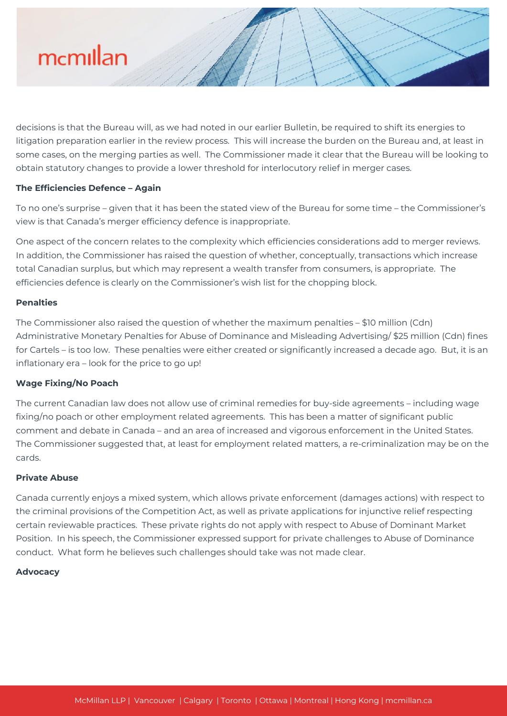

decisions is that the Bureau will, as we had noted in our earlier Bulletin, be required to shift its energies to litigation preparation earlier in the review process. This will increase the burden on the Bureau and, at least in some cases, on the merging parties as well. The Commissioner made it clear that the Bureau will be looking to obtain statutory changes to provide a lower threshold for interlocutory relief in merger cases.

## **The Efficiencies Defence – Again**

To no one's surprise – given that it has been the stated view of the Bureau for some time – the Commissioner's view is that Canada's merger efficiency defence is inappropriate.

One aspect of the concern relates to the complexity which efficiencies considerations add to merger reviews. In addition, the Commissioner has raised the question of whether, conceptually, transactions which increase total Canadian surplus, but which may represent a wealth transfer from consumers, is appropriate. The efficiencies defence is clearly on the Commissioner's wish list for the chopping block.

## **Penalties**

The Commissioner also raised the question of whether the maximum penalties – \$10 million (Cdn) Administrative Monetary Penalties for Abuse of Dominance and Misleading Advertising/ \$25 million (Cdn) fines for Cartels – is too low. These penalties were either created or significantly increased a decade ago. But, it is an inflationary era – look for the price to go up!

## **Wage Fixing/No Poach**

The current Canadian law does not allow use of criminal remedies for buy-side agreements – including wage fixing/no poach or other employment related agreements. This has been a matter of significant public comment and debate in Canada – and an area of increased and vigorous enforcement in the United States. The Commissioner suggested that, at least for employment related matters, a re-criminalization may be on the cards.

### **Private Abuse**

Canada currently enjoys a mixed system, which allows private enforcement (damages actions) with respect to the criminal provisions of the Competition Act, as well as private applications for injunctive relief respecting certain reviewable practices. These private rights do not apply with respect to Abuse of Dominant Market Position. In his speech, the Commissioner expressed support for private challenges to Abuse of Dominance conduct. What form he believes such challenges should take was not made clear.

#### **Advocacy**